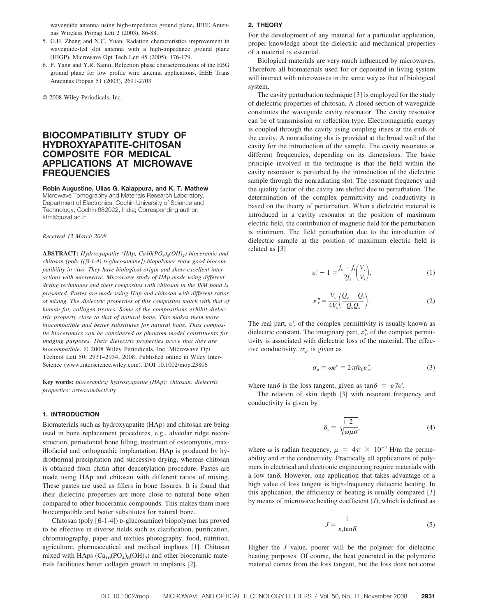waveguide antenna using high-impedance ground plane, IEEE Antennas Wireless Propag Lett 2 (2003), 86-88.

- 5. G.H. Zhang and N.C. Yuan, Radation characteristics improvement in waveguide-fed slot antenna with a high-impedance ground plane (HIGP), Microwave Opt Tech Lett 45 (2005), 176-179.
- 6. F. Yang and Y.R. Samii, Refection phase characterizations of the EBG ground plane for low profile wire antenna applications, IEEE Trans Antennas Propag 51 (2003), 2691-2703.

© 2008 Wiley Periodicals, Inc.

# **BIOCOMPATIBILITY STUDY OF HYDROXYAPATITE-CHITOSAN COMPOSITE FOR MEDICAL APPLICATIONS AT MICROWAVE FREQUENCIES**

**Robin Augustine, Ullas G. Kalappura, and K. T. Mathew** Microwave Tomography and Materials Research Laboratory, Department of Electronics, Cochin University of Science and Technology, Cochin 682022, India; Corresponding author: ktm@cusat.ac.in

#### *Received 12 March 2008*

**ABSTRACT:** *Hydroxyapatite* (*HAp, Ca10*(*PO<sub>4</sub>*)<sub>6</sub>(*OH*)<sub>2</sub>) bioceramic and *chitosan (poly [(-1-4) D-glucosamine]) biopolymer show good biocompatibility in vivo. They have biological origin and show excellent interactions with microwave. Microwave study of HAp made using different drying techniques and their composites with chitosan in the ISM band is presented. Pastes are made using HAp and chitosan with different ratios of mixing. The dielectric properties of this composites match with that of human fat, collagen tissues. Some of the compositions exhibit dielectric property close to that of natural bone. This makes them more biocompatible and better substitutes for natural bone. Thus composite bioceramics can be considered as phantom model constituents for imaging purposes. Their dielectric properties prove that they are biocompatible.* © 2008 Wiley Periodicals, Inc. Microwave Opt Technol Lett 50: 2931–2934, 2008; Published online in Wiley Inter-Science (www.interscience.wiley.com). DOI 10.1002/mop.23806

**Key words:** *bioceramics; hydroxyapatite (HAp); chitosan; dielectric properties; osteoconductivity*

### **1. INTRODUCTION**

Biomaterials such as hydroxyapatite (HAp) and chitosan are being used in bone replacement procedures, e.g., alveolar ridge reconstruction, periodontal bone filling, treatment of osteomytitis, maxillofacial and orthognathic implantation. HAp is produced by hydrothermal precipitation and successive drying, whereas chitosan is obtained from chitin after deacetylation procedure. Pastes are made using HAp and chitosan with different ratios of mixing. These pastes are used as fillers in bone fissures. It is found that their dielectric properties are more close to natural bone when compared to other bioceramic compounds. This makes them more biocompatible and better substitutes for natural bone.

Chitosan (poly  $[\beta-1-4]$ ) D-glucosamine) biopolymer has proved to be effective in diverse fields such as clarification, purification, chromatography, paper and textiles photography, food, nutrition, agriculture, pharmaceutical and medical implants [1]. Chitosan mixed with HAps  $(Ca_{10}(PO_4)_6(OH)_2)$  and other bioceramic materials facilitates better collagen growth in implants [2].

# **2. THEORY**

For the development of any material for a particular application, proper knowledge about the dielectric and mechanical properties of a material is essential.

Biological materials are very much influenced by microwaves. Therefore all biomaterials used for or deposited in living system will interact with microwaves in the same way as that of biological system.

The cavity perturbation technique [3] is employed for the study of dielectric properties of chitosan. A closed section of waveguide constitutes the waveguide cavity resonator. The cavity resonator can be of transmission or reflection type. Electromagnetic energy is coupled through the cavity using coupling irises at the ends of the cavity. A nonradiating slot is provided at the broad wall of the cavity for the introduction of the sample. The cavity resonates at different frequencies, depending on its dimensions. The basic principle involved in the technique is that the field within the cavity resonator is perturbed by the introduction of the dielectric sample through the nonradiating slot. The resonant frequency and the quality factor of the cavity are shifted due to perturbation. The determination of the complex permittivity and conductivity is based on the theory of perturbation. When a dielectric material is introduced in a cavity resonator at the position of maximum electric field, the contribution of magnetic field for the perturbation is minimum. The field perturbation due to the introduction of dielectric sample at the position of maximum electric field is related as [3]

$$
\varepsilon'_{\rm r} - 1 = \frac{f_{\rm c} - f_{\rm s}}{2f_{\rm s}} \left(\frac{V_{\rm c}}{V_{\rm s}}\right),\tag{1}
$$

$$
\varepsilon_{\rm r}'' = \frac{V_{\rm c}}{4V_{\rm s}} \left( \frac{Q_{\rm c} - Q_{\rm s}}{Q_{\rm c} Q_{\rm s}} \right). \tag{2}
$$

The real part,  $\varepsilon'_{r}$ , of the complex permittivity is usually known as dielectric constant. The imaginary part,  $\varepsilon$ <sup>"</sup>, of the complex permittivity is associated with dielectric loss of the material. The effective conductivity,  $\sigma_e$ , is given as

$$
\sigma_{\rm e} = \omega \varepsilon'' = 2\pi f \varepsilon_0 \varepsilon''_{\rm r},\tag{3}
$$

where  $\tan \delta$  is the loss tangent, given as  $\tan \delta = \varepsilon''_r \varepsilon'_r$ .

The relation of skin depth [3] with resonant frequency and conductivity is given by

$$
\delta_{\rm s} = \sqrt{\frac{2}{\omega \mu \sigma}},\tag{4}
$$

where  $\omega$  is radian frequency,  $\mu = 4\pi \times 10^{-7}$  H/m the permeability and  $\sigma$  the conductivity. Practically all applications of polymers in electrical and electronic engineering require materials with a low tan $\delta$ . However, one application that takes advantage of a high value of loss tangent is high-frequency dielectric heating. In this application, the efficiency of heating is usually compared [3] by means of microwave heating coefficient (*J*), which is defined as

$$
J = \frac{1}{\varepsilon_r \tan \delta}.
$$
 (5)

Higher the *J* value, poorer will be the polymer for dielectric heating purposes. Of course, the heat generated in the polymeric material comes from the loss tangent, but the loss does not come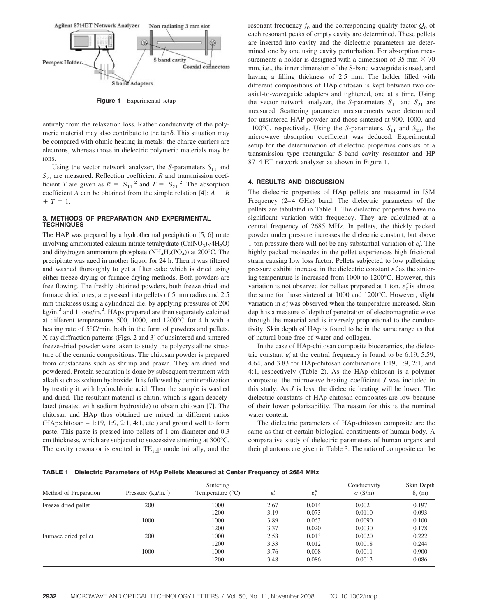

**Figure 1** Experimental setup

entirely from the relaxation loss. Rather conductivity of the polymeric material may also contribute to the  $tan\delta$ . This situation may be compared with ohmic heating in metals; the charge carriers are electrons, whereas those in dielectric polymeric materials may be ions.

Using the vector network analyzer, the *S*-parameters  $S_{11}$  and  $S_{21}$  are measured. Reflection coefficient *R* and transmission coefficient *T* are given as  $R = S_{11}^2$  and  $T = S_{21}^2$ . The absorption coefficient *A* can be obtained from the simple relation [4]:  $A + R$  $+T=1.$ 

## **3. METHODS OF PREPARATION AND EXPERIMENTAL TECHNIQUES**

The HAP was prepared by a hydrothermal precipitation [5, 6] route involving ammoniated calcium nitrate tetrahydrate  $(Ca(NO_3), 4H_2O)$ and dihydrogen ammonium phosphate ( $NH<sub>4</sub>H<sub>2</sub>(PO<sub>4</sub>)$ ) at 200°C. The precipitate was aged in mother liquor for 24 h. Then it was filtered and washed thoroughly to get a filter cake which is dried using either freeze drying or furnace drying methods. Both powders are free flowing. The freshly obtained powders, both freeze dried and furnace dried ones, are pressed into pellets of 5 mm radius and 2.5 mm thickness using a cylindrical die, by applying pressures of 200 kg/in.<sup>2</sup> and 1 tone/in.<sup>2</sup>. HAps prepared are then separately calcined at different temperatures 500, 1000, and 1200°C for 4 h with a heating rate of 5°C/min, both in the form of powders and pellets. X-ray diffraction patterns (Figs. 2 and 3) of unsintered and sintered freeze-dried powder were taken to study the polycrystalline structure of the ceramic compositions. The chitosan powder is prepared from crustaceans such as shrimp and prawn. They are dried and powdered. Protein separation is done by subsequent treatment with alkali such as sodium hydroxide. It is followed by demineralization by treating it with hydrochloric acid. Then the sample is washed and dried. The resultant material is chitin, which is again deacetylated (treated with sodium hydroxide) to obtain chitosan [7]. The chitosan and HAp thus obtained are mixed in different ratios  $(HAp:chitosan - 1:19, 1:9, 2:1, 4:1, etc.)$  and ground well to form paste. This paste is pressed into pellets of 1 cm diameter and 0.3 cm thickness, which are subjected to successive sintering at 300°C. The cavity resonator is excited in  $TE_{10}p$  mode initially, and the resonant frequency  $f_0$  and the corresponding quality factor  $Q_0$  of each resonant peaks of empty cavity are determined. These pellets are inserted into cavity and the dielectric parameters are determined one by one using cavity perturbation. For absorption measurements a holder is designed with a dimension of 35 mm  $\times$  70 mm, i.e., the inner dimension of the S-band waveguide is used, and having a filling thickness of 2.5 mm. The holder filled with different compositions of HAp:chitosan is kept between two coaxial-to-waveguide adapters and tightened, one at a time. Using the vector network analyzer, the *S*-parameters  $S_{11}$  and  $S_{21}$  are measured. Scattering parameter measurements were determined for unsintered HAP powder and those sintered at 900, 1000, and 1100°C, respectively. Using the *S*-parameters,  $S_{11}$  and  $S_{21}$ , the microwave absorption coefficient was deduced. Experimental setup for the determination of dielectric properties consists of a transmission type rectangular S-band cavity resonator and HP 8714 ET network analyzer as shown in Figure 1.

### **4. RESULTS AND DISCUSSION**

The dielectric properties of HAp pellets are measured in ISM Frequency (2-4 GHz) band. The dielectric parameters of the pellets are tabulated in Table 1. The dielectric properties have no significant variation with frequency. They are calculated at a central frequency of 2685 MHz. In pellets, the thickly packed powder under pressure increases the dielectric constant, but above 1-ton pressure there will not be any substantial variation of  $\varepsilon'$ . The highly packed molecules in the pellet experiences high frictional strain causing low loss factor. Pellets subjected to low palletizing pressure exhibit increase in the dielectric constant  $\varepsilon_r^r$  as the sintering temperature is increased from 1000 to 1200°C. However, this variation is not observed for pellets prepared at 1 ton.  $\varepsilon$ <sup>"</sup> is almost the same for those sintered at 1000 and 1200°C. However, slight variation in  $\varepsilon$ <sup>"</sup> was observed when the temperature increased. Skin depth is a measure of depth of penetration of electromagnetic wave through the material and is inversely proportional to the conductivity. Skin depth of HAp is found to be in the same range as that of natural bone free of water and collagen.

In the case of HAp-chitosan composite bioceramics, the dielectric constant  $\varepsilon'_{r}$  at the central frequency is found to be 6.19, 5.59, 4.64, and 3.83 for HAp-chitosan combinations 1:19, 1:9, 2:1, and 4:1, respectively (Table 2). As the HAp chitosan is a polymer composite, the microwave heating coefficient *J* was included in this study. As *J* is less, the dielectric heating will be lower. The dielectric constants of HAp-chitosan composites are low because of their lower polarizability. The reason for this is the nominal water content.

The dielectric parameters of HAp-chitosan composite are the same as that of certain biological constituents of human body. A comparative study of dielectric parameters of human organs and their phantoms are given in Table 3. The ratio of composite can be

| TABLE 1 Dielectric Parameters of HAp Pellets Measured at Center Frequency of 2684 MHz |  |  |
|---------------------------------------------------------------------------------------|--|--|
|                                                                                       |  |  |

| Method of Preparation | Pressure $(kg/in.2)$ | $\varepsilon_{\rm r}'$ | $\epsilon''_{\rm r}$ | Conductivity<br>$\sigma$ (S/m) | Skin Depth<br>$\delta_s$ (m) |       |
|-----------------------|----------------------|------------------------|----------------------|--------------------------------|------------------------------|-------|
| Freeze dried pellet   | 200                  | 1000                   | 2.67                 | 0.014                          | 0.002                        | 0.197 |
|                       |                      | 1200                   | 3.19                 | 0.073                          | 0.0110                       | 0.093 |
|                       | 1000                 | 1000                   | 3.89                 | 0.063                          | 0.0090                       | 0.100 |
|                       |                      | 1200                   | 3.37                 | 0.020                          | 0.0030                       | 0.178 |
| Furnace dried pellet  | 200                  | 1000                   | 2.58                 | 0.013                          | 0.0020                       | 0.222 |
|                       |                      | 1200                   | 3.33                 | 0.012                          | 0.0018                       | 0.244 |
|                       | 1000                 | 1000                   | 3.76                 | 0.008                          | 0.0011                       | 0.900 |
|                       |                      | 1200                   | 3.48                 | 0.086                          | 0.0013                       | 0.086 |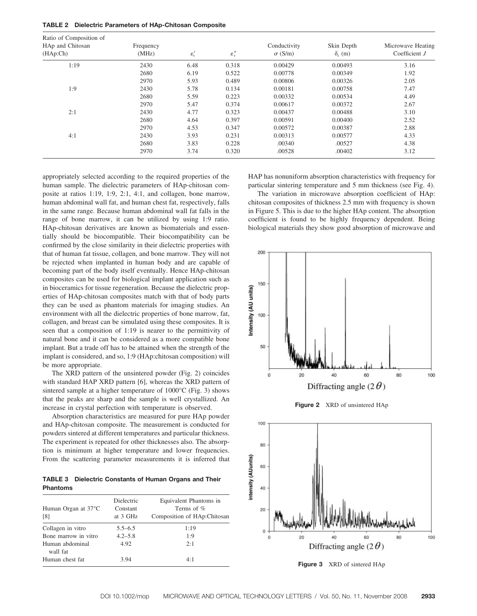|  |  | <b>TABLE 2</b> Dielectric Parameters of HAp-Chitosan Composite |  |  |  |  |
|--|--|----------------------------------------------------------------|--|--|--|--|
|--|--|----------------------------------------------------------------|--|--|--|--|

| Ratio of Composition of<br>HAp and Chitosan<br>(HAp:Ch) | Frequency<br>(MHz) | $\varepsilon_{\rm r}'$ | $\varepsilon_{\rm r}''$ | Conductivity<br>$\sigma$ (S/m) | Skin Depth<br>$\delta_{\rm s}$ (m) | Microwave Heating<br>Coefficient $J$ |
|---------------------------------------------------------|--------------------|------------------------|-------------------------|--------------------------------|------------------------------------|--------------------------------------|
| 1:19                                                    | 2430               | 6.48                   | 0.318                   | 0.00429                        | 0.00493                            | 3.16                                 |
|                                                         | 2680               | 6.19                   | 0.522                   | 0.00778                        | 0.00349                            | 1.92                                 |
|                                                         | 2970               | 5.93                   | 0.489                   | 0.00806                        | 0.00326                            | 2.05                                 |
| 1:9                                                     | 2430               | 5.78                   | 0.134                   | 0.00181                        | 0.00758                            | 7.47                                 |
|                                                         | 2680               | 5.59                   | 0.223                   | 0.00332                        | 0.00534                            | 4.49                                 |
|                                                         | 2970               | 5.47                   | 0.374                   | 0.00617                        | 0.00372                            | 2.67                                 |
| 2:1                                                     | 2430               | 4.77                   | 0.323                   | 0.00437                        | 0.00488                            | 3.10                                 |
|                                                         | 2680               | 4.64                   | 0.397                   | 0.00591                        | 0.00400                            | 2.52                                 |
|                                                         | 2970               | 4.53                   | 0.347                   | 0.00572                        | 0.00387                            | 2.88                                 |
| 4:1                                                     | 2430               | 3.93                   | 0.231                   | 0.00313                        | 0.00577                            | 4.33                                 |
|                                                         | 2680               | 3.83                   | 0.228                   | .00340                         | .00527                             | 4.38                                 |
|                                                         | 2970               | 3.74                   | 0.320                   | .00528                         | .00402                             | 3.12                                 |

appropriately selected according to the required properties of the human sample. The dielectric parameters of HAp-chitosan composite at ratios 1:19, 1:9, 2:1, 4:1, and collagen, bone marrow, human abdominal wall fat, and human chest fat, respectively, falls in the same range. Because human abdominal wall fat falls in the range of bone marrow, it can be utilized by using 1:9 ratio. HAp-chitosan derivatives are known as biomaterials and essentially should be biocompatible. Their biocompatibility can be confirmed by the close similarity in their dielectric properties with that of human fat tissue, collagen, and bone marrow. They will not be rejected when implanted in human body and are capable of becoming part of the body itself eventually. Hence HAp-chitosan composites can be used for biological implant application such as in bioceramics for tissue regeneration. Because the dielectric properties of HAp-chitosan composites match with that of body parts they can be used as phantom materials for imaging studies. An environment with all the dielectric properties of bone marrow, fat, collagen, and breast can be simulated using these composites. It is seen that a composition of 1:19 is nearer to the permittivity of natural bone and it can be considered as a more compatible bone implant. But a trade off has to be attained when the strength of the implant is considered, and so, 1:9 (HAp:chitosan composition) will be more appropriate.

The XRD pattern of the unsintered powder (Fig. 2) coincides with standard HAP XRD pattern [6], whereas the XRD pattern of sintered sample at a higher temperature of 1000°C (Fig. 3) shows that the peaks are sharp and the sample is well crystallized. An increase in crystal perfection with temperature is observed.

Absorption characteristics are measured for pure HAp powder and HAp-chitosan composite. The measurement is conducted for powders sintered at different temperatures and particular thickness. The experiment is repeated for other thicknesses also. The absorption is minimum at higher temperature and lower frequencies. From the scattering parameter measurements it is inferred that

**TABLE 3 Dielectric Constants of Human Organs and Their Phantoms**

| Human Organ at 37 <sup>°</sup> C<br>[8] | Dielectric<br>Constant<br>at 3 GHz | Equivalent Phantoms in<br>Terms of %<br>Composition of HAp:Chitosan |
|-----------------------------------------|------------------------------------|---------------------------------------------------------------------|
| Collagen in vitro                       | $5.5 - 6.5$                        | 1:19                                                                |
| Bone marrow in vitro                    | $4.2 - 5.8$                        | 1:9                                                                 |
| Human abdominal<br>wall fat             | 4.92                               | 2:1                                                                 |
| Human chest fat                         | 3.94                               | 4:1                                                                 |

HAP has nonuniform absorption characteristics with frequency for particular sintering temperature and 5 mm thickness (see Fig. 4).

The variation in microwave absorption coefficient of HAp: chitosan composites of thickness 2.5 mm with frequency is shown in Figure 5. This is due to the higher HAp content. The absorption coefficient is found to be highly frequency dependent. Being biological materials they show good absorption of microwave and







**Figure 3** XRD of sintered HAp